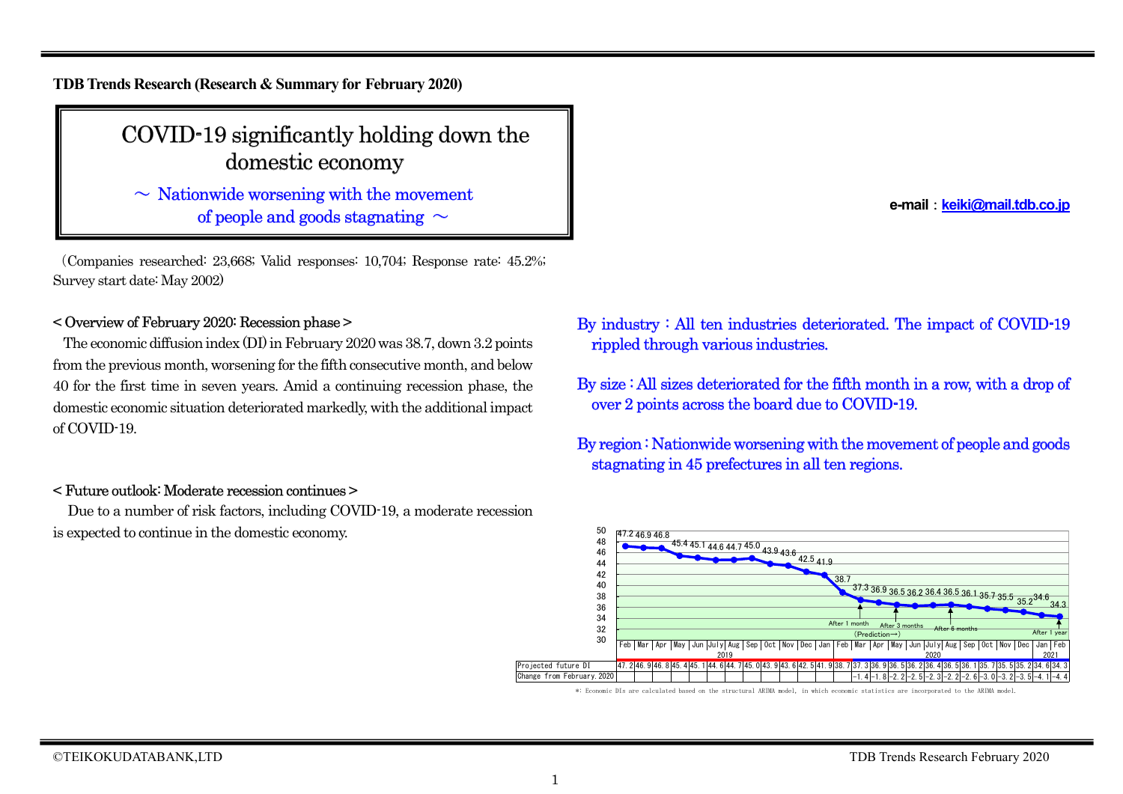**TDB Trends Research (Research & Summary for February 2020)**

# COVID-19 significantly holding down the domestic economy

 $\sim$  Nationwide worsening with the movement of people and goods stagnating  $\sim$ 

(Companies researched: 23,668; Valid responses: 10,704; Response rate: 45.2%; Survey start date: May 2002)

# < Overview of February 2020: Recession phase >

The economic diffusion index (DI) in February 2020 was 38.7, down 3.2 points from the previous month, worsening for the fifth consecutive month, and below 40 for the first time in seven years. Amid a continuing recession phase, the domestic economic situation deteriorated markedly, with the additional impact of COVID-19.

# < Future outlook: Moderate recession continues >

Due to a number of risk factors, including COVID-19, a moderate recession is expected to continue in the domestic economy.

**e-mail**:**keiki@mail.tdb.co.jp**

# By industry : All ten industries deteriorated. The impact of COVID-19 rippled through various industries.

By size : All sizes deteriorated for the fifth month in a row, with a drop of over 2 points across the board due to COVID-19.

By region: Nationwide worsening with the movement of people and goods stagnating in 45 prefectures in all ten regions.



\*: Economic DIs are calculated based on the structural ARIMA model, in which economic statistics are incorporated to the ARIMA model.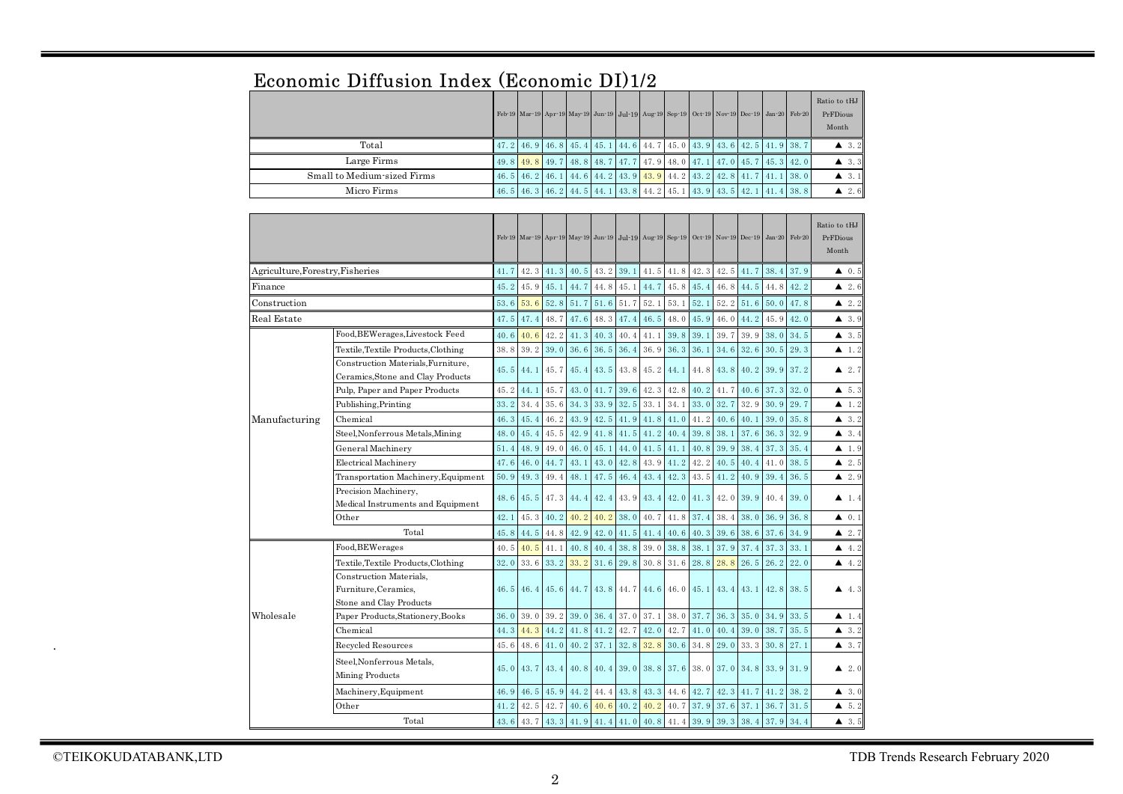|                                | Economic Diffusion Index (Economic D1)1/2                                  |      |                                                                                            |      |      |      |      |                                           |                |      |               |      |          |        |                                   |
|--------------------------------|----------------------------------------------------------------------------|------|--------------------------------------------------------------------------------------------|------|------|------|------|-------------------------------------------|----------------|------|---------------|------|----------|--------|-----------------------------------|
|                                |                                                                            |      | Feb 19 Mar 19 Apr 19 May 19 Jun 19 Jul 19 Aug 19 Sep 19 Oct 19                             |      |      |      |      |                                           |                |      | Nov-19 Dec-19 |      | $Jan-20$ | Feb-20 | Ratio to tHJ<br>PrFDious<br>Month |
|                                | Total                                                                      | 47.2 | 46.9                                                                                       | 46.8 | 45.4 | 45.1 |      | 44.6 44.7                                 | 45.0           | 43.9 | 43.6          | 42.5 | 41.9     | 38.7   | $\triangle$ 3.2                   |
|                                | Large Firms                                                                | 49.8 | 49.8                                                                                       | 49.7 | 48.8 | 48.7 | 47.7 | 47.9                                      | 48.0           | 47.1 | 47.0          | 45.7 | 45.3     | 42.0   | $\triangle$ 3.3                   |
|                                | Small to Medium-sized Firms                                                |      | $46.5$ 46.2                                                                                | 46.1 | 44.6 | 44.2 | 43.9 | 43.9                                      | 44.2           | 43.2 | 42.8          | 41.7 | 41.1     | 38.0   | $\blacktriangle$ 3.1              |
|                                | Micro Firms                                                                | 46.5 | 46.3                                                                                       | 46.2 | 44.5 | 44.1 | 43.8 | 44.2                                      | 45.1           | 43.9 | 43.5          | 42.1 | 41.4     | 38.8   | 2.6<br>▲                          |
|                                |                                                                            |      |                                                                                            |      |      |      |      |                                           |                |      |               |      |          |        |                                   |
|                                |                                                                            |      | Feb-19 Mar-19 Apr-19 May-19 Jun-19 Jul-19 Aug-19 Sep-19 Oct-19 Nov-19 Dec-19 Jan-20 Feb-20 |      |      |      |      |                                           |                |      |               |      |          |        | Ratio to tHJ<br>PrFDious<br>Month |
| Agriculture,Forestry,Fisheries |                                                                            | 41.7 | 42.3                                                                                       | 41.3 | 40.5 | 43.2 | 39.1 | 41.5                                      | 41.8           | 42.3 | 42.5          | 41.7 | 38.4     | 37.9   | 40.5                              |
| Finance                        |                                                                            | 45.2 | 45.9                                                                                       | 45.1 | 44.7 | 44.8 | 45.1 | 44.7                                      | 45.8           | 45.4 | 46.8          | 44.5 | 44.8     | 42.2   | $\blacktriangle$ 2.6              |
| $\rm Construction$             |                                                                            | 53.6 | 53.6                                                                                       | 52.8 | 51.7 | 51.6 | 51.7 | 52.1                                      | 53.1           | 52.1 | 52.2          | 51.6 | 50.0     | 47.8   | $\blacktriangle$ 2.2              |
| Real Estate                    |                                                                            | 47.5 | 47.4                                                                                       | 48.7 | 47.6 | 48.3 | 47.4 | 46.5                                      | 48.0           | 45.9 | 46.0          | 44.2 | 45.9     | 42.0   | $\triangle$ 3.9                   |
|                                | Food, BEWerages, Livestock Feed                                            | 40.6 | 40.6                                                                                       | 42.2 | 41.3 | 40.3 | 40.4 | 41.1                                      | 39.8           | 39.1 | 39.7          | 39.9 | 38.0     | 34.5   | $\blacktriangle$ 3.5              |
|                                | Textile, Textile Products, Clothing                                        | 38.8 | 39.2                                                                                       | 39.0 | 36.6 | 36.5 | 36.4 | 36.9                                      | 36.3           | 36.1 | 34.6          | 32.6 | 30.5     | 29.3   | $\blacktriangle$ 1.2              |
|                                | Construction Materials, Furniture,                                         |      |                                                                                            |      |      |      |      |                                           |                |      |               |      |          |        |                                   |
|                                | Ceramics, Stone and Clay Products                                          | 45.5 | 44.1                                                                                       | 45.7 | 45.4 | 43.5 | 43.8 | 45.2                                      | 44.1           | 44.8 | 43.8          | 40.2 | 39.9     | 37.2   | $\blacktriangle$ 2.7              |
|                                | Pulp, Paper and Paper Products                                             | 45.2 | 44.1                                                                                       | 45.7 | 43.0 | 41.7 | 39.6 | 42.3                                      | 42.8           | 40.2 | 41.7          | 40.6 | 37.3     | 32.0   | 4, 5, 3                           |
|                                | Publishing, Printing                                                       | 33.2 | 34.4                                                                                       | 35.6 | 34.3 | 33.9 | 32.5 | 33.1                                      | 34.1           | 33.0 | 32.7          | 32.9 | 30.9     | 29.7   | $\blacktriangle$ 1.2              |
| Manufacturing                  | Chemical                                                                   | 46.3 | 45.4                                                                                       | 46.2 | 43.9 | 42.5 | 41.9 | 41.8                                      | 41.0           | 41.2 | 40.6          | 40.1 | 39.0     | 35.8   | 3.2<br>▲                          |
|                                | Steel, Nonferrous Metals, Mining                                           | 48.0 | 45.4                                                                                       | 45.5 | 42.9 | 41.8 | 41.5 | 41.2                                      | 40.4           | 39.8 | 38.1          | 37.6 | 36.3     | 32.9   | $\triangle$ 3.4                   |
|                                | General Machinery                                                          | 51.4 | 48.9                                                                                       | 49.0 | 46.0 | 45.1 | 44.0 | 41.5                                      | 41.1           | 40.8 | 39.9          | 38.4 | 37.3     | 35.4   | $\blacktriangle$ 1.9              |
|                                | <b>Electrical Machinery</b>                                                | 47.6 | 46.0                                                                                       | 44.7 | 43.1 | 43.0 | 42.8 | 43.9                                      | 41.2           | 42.2 | 40.5          | 40.4 | 41.0     | 38.5   | 2.5                               |
|                                | Transportation Machinery, Equipment                                        | 50.9 | 49.3                                                                                       | 49.4 | 48.1 | 47.5 | 46.4 | 43.4                                      | 42.3           | 43.5 | 41.2          | 40.9 | 39.4     | 36.5   | 2.9                               |
|                                | Precision Machinery,<br>Medical Instruments and Equipment                  | 48.6 | 45.5                                                                                       | 47.3 | 44.4 | 42.4 | 43.9 | 43.4                                      | 42.0           | 41.3 | 42.0          | 39.9 | 40.4     | 39.0   | $\blacktriangle$ 1.4              |
|                                | Other                                                                      | 42.1 | 45.3                                                                                       | 40.2 | 40.2 | 40.2 | 38.0 | 40.7                                      | 41.8           | 37.4 | 38.4          | 38.0 | 36.9     | 36.8   | 0.1<br>▲                          |
|                                | Total                                                                      | 45.8 | 44.5                                                                                       | 44.8 | 42.9 | 42.0 | 41.5 | 41.4                                      | 40.6           | 40.3 | 39.6          | 38.6 | 37.6     | 34.9   | $\blacktriangle$ 2.7              |
|                                | Food, BEWerages                                                            | 40.5 | 40.5                                                                                       | 41.1 | 40.8 | 40.4 | 38.8 | 39.0                                      | 38.8           | 38.1 | 37.9          | 37.4 | 37.3     | 33.1   | 4.2                               |
|                                | Textile, Textile Products, Clothing                                        | 32.0 | 33.6                                                                                       | 33.2 | 33.2 | 31.6 | 29.8 | 30.8                                      | 31.6           | 28.8 | 28.8          | 26.5 | 26.2     | 22.0   | 4.2<br>▲                          |
|                                | Construction Materials.<br>Furniture, Ceramics,<br>Stone and Clay Products | 46.5 | 46.4                                                                                       | 45.6 | 44.7 | 43.8 |      | 44.7 44.6                                 | $46.0$ $45.1$  |      | $43.4$ $43.1$ |      | 42.8     | 38.5   | 4.3                               |
| Wholesale                      | Paper Products, Stationery, Books                                          | 36.0 | 39.0                                                                                       | 39.2 | 39.0 | 36.4 | 37.0 | 37.1                                      | 38.0           | 37.7 | 36.3          | 35.0 | 34.9     | 33.5   | 1.4                               |
|                                | Chemical                                                                   | 44.3 | 44.3                                                                                       | 44.2 | 41.8 | 41.2 | 42.7 | 42.0                                      | 42.7           | 41.0 | 40.4          | 39.0 | 38.7     | 35.5   | $\blacktriangle$ 3.2              |
|                                | Recycled Resources                                                         | 45.6 | 48.6                                                                                       | 41.0 | 40.2 | 37.1 | 32.8 | 32.8                                      | 30.6           | 34.8 | 29.0          | 33.3 | 30.8     | 27.1   | 43.7                              |
|                                | Steel, Nonferrous Metals,<br>Mining Products                               | 45.0 | 43.7                                                                                       | 43.4 | 40.8 | 40.4 | 39.0 | 38.8                                      | 37.6 38.0      |      | 37.0          | 34.8 | 33.9     | 31.9   | $\blacktriangle$ 2.0              |
|                                | Machinery, Equipment                                                       | 46.9 | 46.5                                                                                       | 45.9 | 44.2 | 44.4 | 43.8 | 43.3                                      | 44.6           | 42.7 | 42.3          | 41.7 | 41.2     | 38.2   | 43.0                              |
|                                | Other                                                                      | 41.2 | 42.5                                                                                       | 42.7 | 40.6 | 40.6 | 40.2 |                                           | 40.2 40.7 37.9 |      | 37.6          | 37.1 | 36.7     | 31.5   | 45.2                              |
|                                | Total                                                                      | 43.6 | 43.7                                                                                       | 43.3 |      |      |      | $41.9$ 41.4 41.0 40.8 41.4 39.9 39.3 38.4 |                |      |               |      | 37.9     | 34.4   | $\blacktriangle$ 3.5              |

# Economic Diffusion Index (Economic DI)1/2

.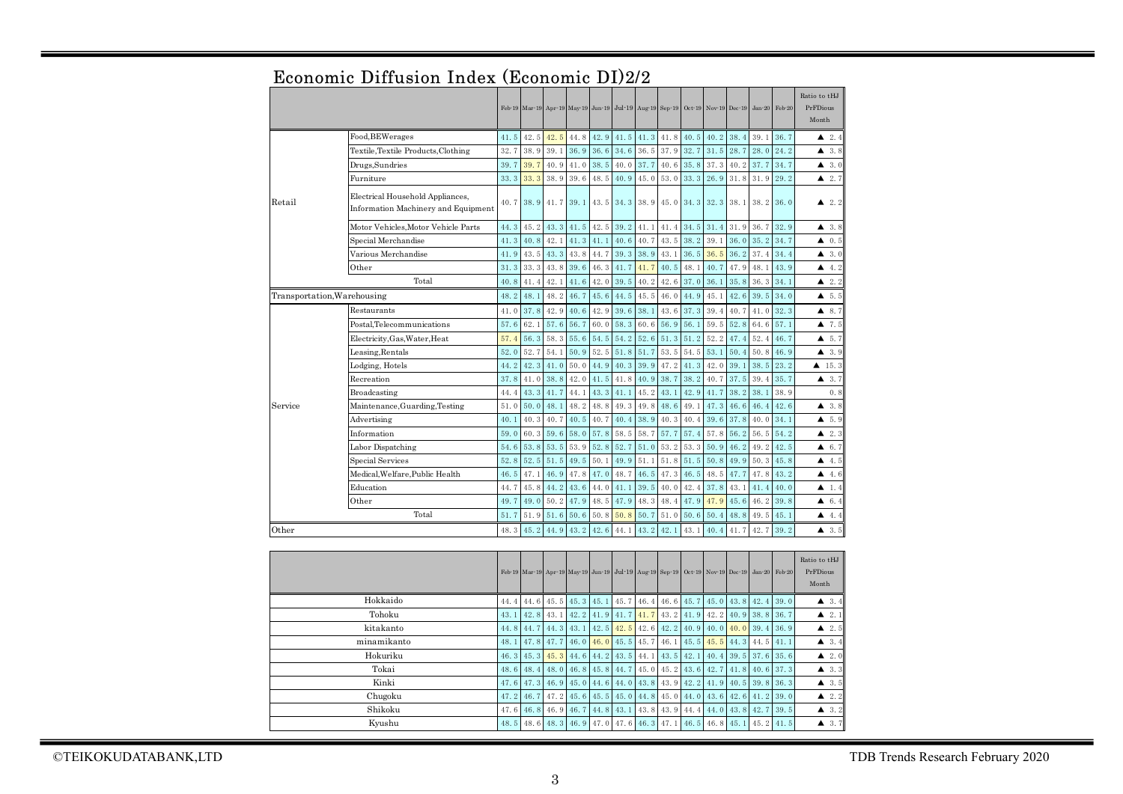|         |                                                                         |      |           |      |      |      |           | Feb 19 Mar 19 Apr 19 May 19 Jun 19 Jul 19 Aug 19 Sep 19 Oct 19 Nov 19 Dec 19 |      |      |      |      | $Jan-20$ | Feb-20 | Ratio to tHJ<br>PrFDious<br>Month |
|---------|-------------------------------------------------------------------------|------|-----------|------|------|------|-----------|------------------------------------------------------------------------------|------|------|------|------|----------|--------|-----------------------------------|
|         | Food, BEWerages                                                         | 41.5 | 42.5      | 42.5 | 44.8 | 42.9 | 41.5      | 41.3                                                                         | 41.8 | 40.5 | 40.2 | 38.4 | 39.1     | 36.7   | 2.4                               |
|         | Textile, Textile Products, Clothing                                     | 32.7 | 38.9      | 39.1 | 36.9 | 36.6 | 34.6      | 36.5                                                                         | 37.9 | 32.7 | 31.5 | 28.7 | 28.0     | 24.2   | 3.8<br>▲                          |
|         | Drugs,Sundries                                                          | 39.7 | 39.7      | 40.9 | 41.0 | 38.5 | 40.0      | 37.7                                                                         | 40.6 | 35.8 | 37.3 | 40.2 | 37.7     | 34.7   | $\triangle$ 3.0                   |
|         | Furniture                                                               | 33.3 | 33.3      | 38.9 | 39.6 | 48.5 | 40.9      | 45.0                                                                         | 53.0 | 33.3 | 26.9 | 31.8 | 31.9     | 29.2   | 2.7                               |
| Retail  | Electrical Household Appliances,<br>Information Machinery and Equipment |      | 40.7 38.9 | 41.7 | 39.1 | 43.5 | 34.3 38.9 |                                                                              | 45.0 | 34.3 | 32.3 | 38.1 | 38.2     | 36.0   | $\blacktriangle$ 2.2              |
|         | Motor Vehicles,Motor Vehicle Parts                                      | 44.3 | 45.2      | 43.3 | 41.5 | 42.5 | 39.2      | 41.1                                                                         | 41.4 | 34.5 | 31.4 | 31.9 | 36.7     | 32.9   | 43.8                              |
|         | Special Merchandise                                                     | 41.3 | 40.8      | 42.1 | 41.3 | 41.1 | 40.6      | 40.7                                                                         | 43.5 | 38.2 | 39.1 | 36.0 | 35.2     | 34.7   | 0.5<br>▲                          |
|         | Various Merchandise                                                     | 41.9 | 43.5      | 43.3 | 43.8 | 44.7 | 39.3      | 38.9                                                                         | 43.1 | 36.5 | 36.5 | 36.2 | 37.4     | 34.4   | $\triangle$ 3.0                   |
|         | Other                                                                   | 31.3 | 33.3      | 43.8 | 39.6 | 46.3 | 41.7      | 41.7                                                                         | 40.5 | 48.1 | 40.7 | 47.9 | 48.1     | 43.9   | 4.2                               |
|         | Total                                                                   | 40.8 | 41.4      | 42.1 | 41.6 | 42.0 | 39.5      | 40.2                                                                         | 42.6 | 37.0 | 36.1 | 35.8 | 36.3     | 34.1   | 2.2<br>▲                          |
|         | Transportation, Warehousing                                             | 48.2 | 48.1      | 48.2 | 46.7 | 45.6 | 44.5      | 45.5                                                                         | 46.0 | 44.9 | 45.1 | 42.6 | 39.5     | 34.0   | 4, 5, 5                           |
|         | Restaurants                                                             | 41.0 | 37.8      | 42.9 | 40.6 | 42.9 | 39.6      | 38.1                                                                         | 43.6 | 37.3 | 39.4 | 40.7 | 41.0     | 32.3   | 48.7                              |
|         | Postal.Telecommunications                                               | 57.6 | 62.1      | 57.6 | 56.7 | 60.0 | 58.3      | 60.6                                                                         | 56.9 | 56.1 | 59.5 | 52.8 | 64.6     | 57.1   | 7.5<br>▲                          |
|         | Electricity, Gas, Water, Heat                                           | 57.4 | 56.3      | 58.3 | 55.6 | 54.5 | 54.2      | 52.6                                                                         | 51.3 | 51.2 | 52.2 | 47.4 | 52.4     | 46.7   | 5.7<br>▲                          |
|         | Leasing, Rentals                                                        | 52.0 | 52.7      | 54.1 | 50.9 | 52.5 | 51.8      | 51.7                                                                         | 53.5 | 54.5 | 53.1 | 50.4 | 50.8     | 46.9   | 3.9<br>▲                          |
|         | Lodging, Hotels                                                         | 44.2 | 42.3      | 41.0 | 50.0 | 44.9 | 40.3      | 39.9                                                                         | 47.2 | 41.3 | 42.0 | 39.1 | 38.5     | 23.2   | $\blacktriangle$ 15.3             |
|         | Recreation                                                              | 37.8 | 41.0      | 38.8 | 42.0 | 41.5 | 41.8      | 40.9                                                                         | 38.7 | 38.2 | 40.7 | 37.5 | 39.4     | 35.7   | 43.7                              |
|         | Broadcasting                                                            | 44.4 | 43.3      | 41.7 | 44.1 | 43.3 | 41.1      | 45.2                                                                         | 43.1 | 42.9 | 41.7 | 38.2 | 38.1     | 38.9   | 0.8                               |
| Service | Maintenance, Guarding, Testing                                          | 51.0 | 50.0      | 48.1 | 48.2 | 48.8 | 49.3      | 49.8                                                                         | 48.6 | 49.1 | 47.3 | 46.6 | 46.4     | 42.6   | 3.8<br>▲                          |
|         | Advertising                                                             | 40.1 | 40.3      | 40.7 | 40.5 | 40.7 | 40.4      | 38.9                                                                         | 40.3 | 40.4 | 39.6 | 37.8 | 40.0     | 34.1   | $\triangle$ 5.9                   |
|         | Information                                                             | 59.0 | 60.3      | 59.6 | 58.0 | 57.8 | 58.5      | 58.7                                                                         | 57.7 | 57.4 | 57.8 | 56.2 | 56.5     | 54.2   | 2.3<br>▲                          |
|         | Labor Dispatching                                                       | 54.6 | 53.8      | 53.5 | 53.9 | 52.8 | 52.7      | 51.0                                                                         | 53.2 | 53.3 | 50.9 | 46.2 | 49.2     | 42.5   | 6.7<br>▲                          |
|         | Special Services                                                        | 52.8 | 52.5      | 51.5 | 49.5 | 50.1 | 49.9      | 51.1                                                                         | 51.8 | 51.5 | 50.8 | 49.9 | 50.3     | 45.8   | 4.5                               |
|         | Medical, Welfare, Public Health                                         | 46.5 | 47.1      | 46.9 | 47.8 | 47.0 | 48.7      | 46.5                                                                         | 47.3 | 46.5 | 48.5 | 47.7 | 47.8     | 43.2   | 4.6                               |
|         | Education                                                               | 44.7 | 45.8      | 44.2 | 43.6 | 44.0 | 41.1      | 39.5                                                                         | 40.0 | 42.4 | 37.8 | 43.1 | 41.4     | 40.0   | 1.4<br>▲                          |
|         | Other                                                                   | 49.7 | 49.0      | 50.2 | 47.9 | 48.5 | 47.9      | 48.3                                                                         | 48.4 | 47.9 | 47.9 | 45.6 | 46.2     | 39.8   | 46.4                              |
|         | Total                                                                   | 51.7 | 51.9      | 51.6 | 50.6 | 50.8 | 50.8      | 50.7                                                                         | 51.0 | 50.6 | 50.4 | 48.8 | 49.5     | 45.1   | 4.4                               |
| Other   |                                                                         | 48.3 | 45.2      | 44.9 | 43.2 | 42.6 | 44.1      | 43.2                                                                         | 42.1 | 43.1 | 40.4 | 41.7 | 42.7     | 39.2   | 43.5                              |
|         |                                                                         |      |           |      |      |      |           | Feb 19 Mar 19 Apr 19 May 19 Jun 19 Jul 19 Aug 19 Sep 19 Oct 19 Nov 19 Dec 19 |      |      |      |      | $Jan-20$ | Feb-20 | Ratio to tHJ<br>PrFDious<br>Month |
|         | Hokkaido                                                                | 44.4 | 44.6      | 45.5 | 45.3 | 45.1 | 45.7      | 46.4                                                                         | 46.6 | 45.7 | 45.0 | 43.8 | 42.4     | 39.0   | $\triangle$ 3.4                   |
|         | Tohoku                                                                  | 43.1 | 42.8      | 43.1 | 42.2 | 41.9 | 41.7      | 41.7                                                                         | 43.2 | 41.9 | 42.2 | 40.9 | 38.8     | 36.7   | $\triangle$ 2.1                   |
|         | kitakanto                                                               | 44.8 | 44.7      | 44.3 | 43.1 | 42.5 | 42.5      | 42.6                                                                         | 42.2 | 40.9 | 40.0 | 40.0 | 39.4     | 36.9   | 2.5<br>▲                          |
|         |                                                                         |      |           |      |      |      |           |                                                                              |      |      |      |      |          |        |                                   |

# Economic Diffusion Index (Economic DI)2/2

|             |  |  |  |  |  |  | Feb-19 Mar-19 Apr-19 May-19 Jun-19 Jul-19 Aug-19 Sep-19 Oct-19 Nov-19 Dec-19 Jan-20 Feb-20 | Ratio to tHJ<br>PrFDious<br>Month |
|-------------|--|--|--|--|--|--|--------------------------------------------------------------------------------------------|-----------------------------------|
| Hokkaido    |  |  |  |  |  |  | 44. 4 44. 6 45. 5 45. 3 45. 1 45. 7 46. 4 46. 6 45. 7 45. 0 43. 8 42. 4 39. 0              | $\triangle$ 3.4                   |
| Tohoku      |  |  |  |  |  |  | 43. 1 42. 8 43. 1 42. 2 41. 9 41. 7 41. 7 43. 2 41. 9 42. 2 40. 9 38. 8 36. 7              | $\blacktriangle$ 2.1              |
| kitakanto   |  |  |  |  |  |  | 44, 8 44, 7 44, 3 43, 1 42, 5 42, 5 42, 6 42, 2 40, 9 40, 0 40, 0 39, 4 36, 9              | $\triangle$ 2.5                   |
| minamikanto |  |  |  |  |  |  | 48. 1 47. 8 47. 7 46. 0 46. 0 45. 5 45. 7 46. 1 45. 5 45. 5 44. 3 44. 5 41. 1              | $\blacktriangle$ 3.4              |
| Hokuriku    |  |  |  |  |  |  | 46. 3 45. 3 45. 3 44. 6 44. 2 43. 5 44. 1 43. 5 42. 1 40. 4 39. 5 37. 6 35. 6              | $\blacktriangle$ 2.0              |
| Tokai       |  |  |  |  |  |  | 48. 6 48. 4 48. 0 46. 8 45. 8 44. 7 45. 0 45. 2 43. 6 42. 7 41. 8 40. 6 37. 3              | $\blacktriangle$ 3.3              |
| Kinki       |  |  |  |  |  |  | 47, 6 47, 3 46, 9 45, 0 44, 6 44, 0 43, 8 43, 9 42, 2 41, 9 40, 5 39, 8 36, 3              | $\blacktriangle$ 3.5              |
| Chugoku     |  |  |  |  |  |  | 47. 2 46. 7 47. 2 45. 6 45. 5 45. 0 44. 8 45. 0 44. 0 43. 6 42. 6 41. 2 39. 0              | $\blacktriangle$ 2.2              |
| Shikoku     |  |  |  |  |  |  | 47, 6 46, 8 46, 9 46, 7 44, 8 43, 1 43, 8 43, 9 44, 4 44, 0 43, 8 42, 7 39, 5              | $\blacktriangle$ 3.2              |
| Kyushu      |  |  |  |  |  |  | 48. 5 48. 6 48. 3 46. 9 47. 0 47. 6 46. 3 47. 1 46. 5 46. 8 45. 1 45. 2 41. 5              | $\blacktriangle$ 3.7              |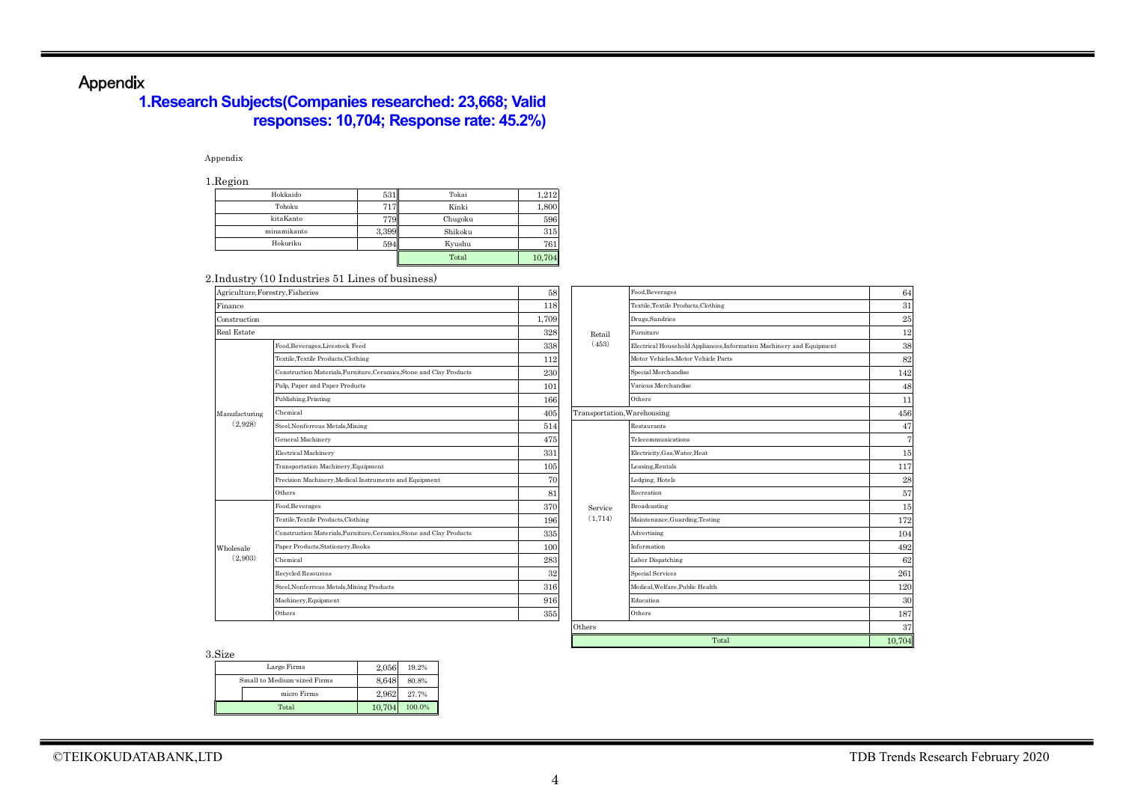# Appendix

# **1.Research Subjects(Companies researched: 23,668; Valid responses: 10,704; Response rate: 45.2%)**

### Appendix

1.Region

| -------     |       |         |        |
|-------------|-------|---------|--------|
| Hokkaido    | 531   | Tokai   | 1,212  |
| Tohoku      |       | Kinki   | 1,800  |
| kitaKanto   | 779   | Chugoku | 596    |
| minamikanto | 3,399 | Shikoku | 315    |
| Hokuriku    | 594   | Kyushu  | 761    |
|             |       | Total   | 10,704 |

#### 2.Industry (10 Industries 51 Lines of business)

| Agriculture, Forestry, Fisheries |                                                                      | 58    |                             | Food, Beverages                                                      | 64     |
|----------------------------------|----------------------------------------------------------------------|-------|-----------------------------|----------------------------------------------------------------------|--------|
| Finance                          |                                                                      | 118   |                             | Textile, Textile Products, Clothing                                  | 31     |
| Construction                     |                                                                      | 1,709 |                             | Drugs, Sundries                                                      | 25     |
| <b>Real Estate</b>               |                                                                      | 328   | Retail                      | Furniture                                                            | 12     |
|                                  | Food, Beverages, Livestock Feed                                      |       | (453)                       | Electrical Household Appliances, Information Machinery and Equipment | 38     |
|                                  | Textile, Textile Products, Clothing                                  | 112   |                             | Motor Vehicles, Motor Vehicle Parts                                  | 82     |
|                                  | Construction Materials, Furniture, Ceramics, Stone and Clay Products | 230   |                             | Special Merchandise                                                  | 142    |
|                                  | Pulp, Paper and Paper Products                                       | 101   |                             | Various Merchandise                                                  | 48     |
|                                  | Publishing, Printing                                                 | 166   |                             | Others                                                               | 11     |
| Manufacturing                    | Chemical                                                             | 405   | Transportation, Warehousing |                                                                      | 456    |
| (2,928)                          | Steel, Nonferrous Metals, Mining                                     | 514   |                             | Restaurants                                                          | 47     |
|                                  | General Machinery                                                    | 475   |                             | Telecommunications                                                   | 7      |
|                                  | Electrical Machinery                                                 | 331   |                             | Electricity, Gas, Water, Heat                                        | 15     |
|                                  | Transportation Machinery, Equipment                                  | 105   |                             | Leasing, Rentals                                                     | 117    |
|                                  | Precision Machinery, Medical Instruments and Equipment               | 70    |                             | Lodging, Hotels                                                      | 28     |
|                                  | Others                                                               | 81    |                             | Recreation                                                           | 57     |
|                                  | Food, Beverages                                                      | 370   | Service                     | Broadcasting                                                         | 15     |
|                                  | Textile, Textile Products, Clothing                                  | 196   | (1, 714)                    | Maintenance, Guarding, Testing                                       | 172    |
|                                  | Construction Materials, Furniture, Ceramics, Stone and Clay Products | 335   |                             | Advertising                                                          | 104    |
| Wholesale                        | Paper Products, Stationery, Books                                    | 100   |                             | Information                                                          | 492    |
| (2,903)                          | Chemical                                                             | 283   |                             | Labor Dispatching                                                    | 62     |
|                                  | Recycled Resources                                                   | 32    |                             | Special Services                                                     | 261    |
|                                  | Steel, Nonferrous Metals, Mining Products                            | 316   |                             | Medical, Welfare, Public Health                                      | 120    |
|                                  | Machinery, Equipment                                                 | 916   |                             | Education                                                            | 30     |
|                                  | Others                                                               | 355   |                             | Others                                                               | 187    |
|                                  |                                                                      |       | Others                      |                                                                      | 37     |
|                                  |                                                                      |       |                             | Total                                                                | 10.704 |

3.Size

| $\sim$                      |        |        |
|-----------------------------|--------|--------|
| Large Firms                 | 2.056  | 19.2%  |
| Small to Medium-sized Firms | 8.648  | 80.8%  |
| micro Firms                 | 2.962  | 27.7%  |
| Total                       | 10.704 | 100.0% |

 $\frac{117}{28}$ 

172

 $\frac{492}{62}$ 

120 30

187

10,704

12

64

31 25